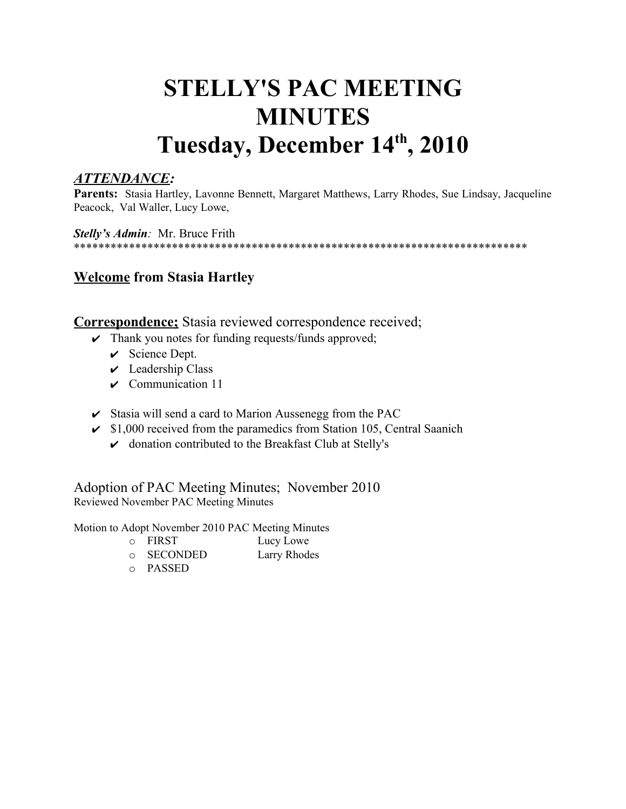# **STELLY'S PAC MEETING MINUTES Tuesday, December 14th, 2010**

### *ATTENDANCE:*

**Parents:** Stasia Hartley, Lavonne Bennett, Margaret Matthews, Larry Rhodes, Sue Lindsay, Jacqueline Peacock, Val Waller, Lucy Lowe,

*Stelly's Admin:* Mr. Bruce Frith \*\*\*\*\*\*\*\*\*\*\*\*\*\*\*\*\*\*\*\*\*\*\*\*\*\*\*\*\*\*\*\*\*\*\*\*\*\*\*\*\*\*\*\*\*\*\*\*\*\*\*\*\*\*\*\*\*\*\*\*\*\*\*\*\*\*\*\*\*\*\*\*\*\*

## **Welcome from Stasia Hartley**

**Correspondence;** Stasia reviewed correspondence received;

- $\triangleright$  Thank you notes for funding requests/funds approved;
	- $\checkmark$  Science Dept.
	- $\vee$  Leadership Class
	- $\vee$  Communication 11
- $\triangleright$  Stasia will send a card to Marion Aussenegg from the PAC
- $\checkmark$  \$1,000 received from the paramedics from Station 105, Central Saanich
	- $\vee$  donation contributed to the Breakfast Club at Stelly's

Adoption of PAC Meeting Minutes; November 2010 Reviewed November PAC Meeting Minutes

Motion to Adopt November 2010 PAC Meeting Minutes

- o FIRST Lucy Lowe
- o SECONDED Larry Rhodes
- o PASSED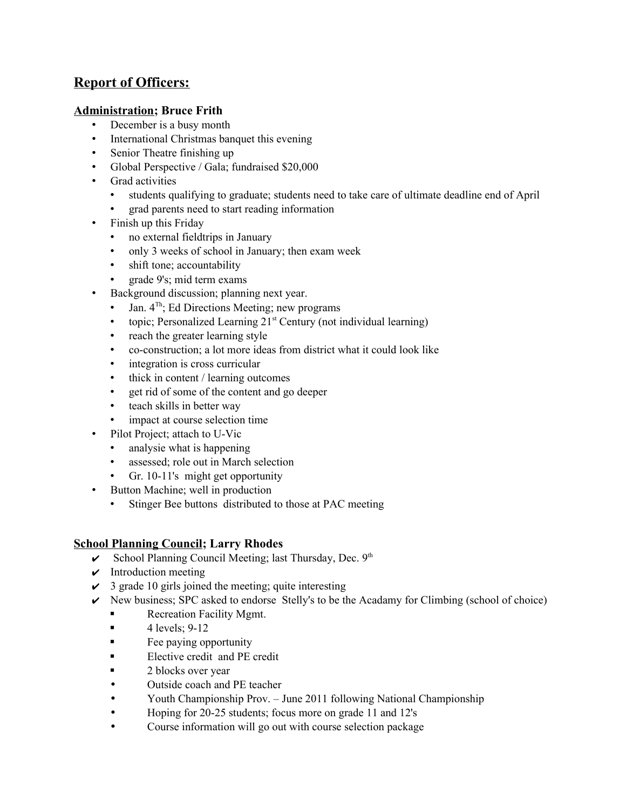# **Report of Officers:**

#### **Administration; Bruce Frith**

- December is a busy month
- International Christmas banquet this evening
- Senior Theatre finishing up
- Global Perspective / Gala; fundraised \$20,000
- Grad activities
	- students qualifying to graduate; students need to take care of ultimate deadline end of April
	- grad parents need to start reading information
- Finish up this Friday
	- no external fieldtrips in January
	- only 3 weeks of school in January; then exam week
	- shift tone; accountability
	- grade 9's; mid term exams
- Background discussion; planning next year.
	- Jan.  $4^{Th}$ ; Ed Directions Meeting; new programs
	- topic; Personalized Learning  $21^{st}$  Century (not individual learning)
	- reach the greater learning style
	- co-construction; a lot more ideas from district what it could look like
	- integration is cross curricular
	- thick in content / learning outcomes
	- get rid of some of the content and go deeper
	- teach skills in better way
	- impact at course selection time
- Pilot Project; attach to U-Vic
	- analysie what is happening
	- assessed; role out in March selection
	- Gr. 10-11's might get opportunity
- Button Machine; well in production
	- Stinger Bee buttons distributed to those at PAC meeting

#### **School Planning Council; Larry Rhodes**

- $\checkmark$  School Planning Council Meeting; last Thursday, Dec.  $9^{\text{th}}$
- $\vee$  Introduction meeting
- $\angle$  3 grade 10 girls joined the meeting; quite interesting
- $\vee$  New business; SPC asked to endorse Stelly's to be the Acadamy for Climbing (school of choice)
	- Recreation Facility Mgmt.
	- $\blacksquare$  4 levels; 9-12
	- **Fee paying opportunity**
	- Elective credit and PE credit
	- 2 blocks over year
	- Outside coach and PE teacher
	- Youth Championship Prov. June 2011 following National Championship
	- Hoping for 20-25 students; focus more on grade 11 and 12's
	- Course information will go out with course selection package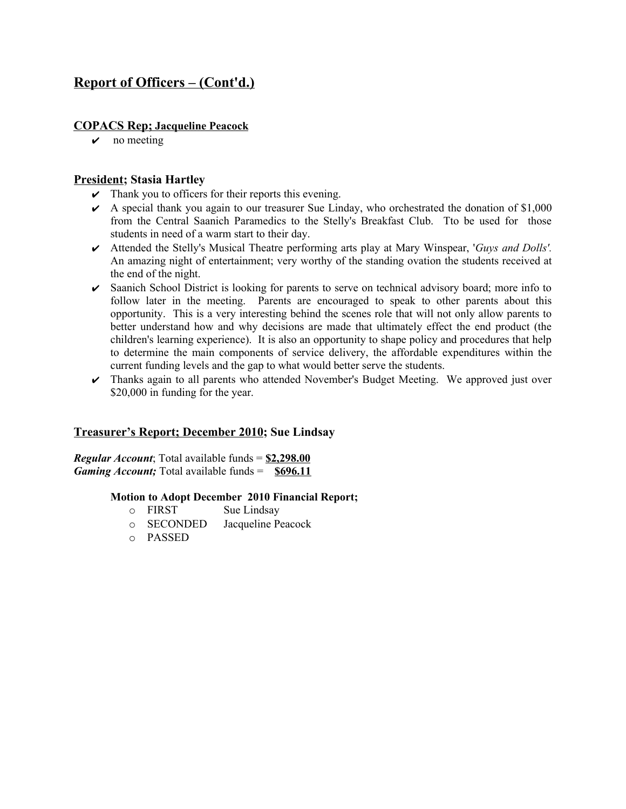# **Report of Officers – (Cont'd.)**

#### **COPACS Rep; Jacqueline Peacock**

 $\mathbf v$  no meeting

#### **President; Stasia Hartley**

- $\triangleright$  Thank you to officers for their reports this evening.
- $\blacktriangleright$  A special thank you again to our treasurer Sue Linday, who orchestrated the donation of \$1,000 from the Central Saanich Paramedics to the Stelly's Breakfast Club. Tto be used for those students in need of a warm start to their day.
- ✔ Attended the Stelly's Musical Theatre performing arts play at Mary Winspear, '*Guys and Dolls'.* An amazing night of entertainment; very worthy of the standing ovation the students received at the end of the night.
- $\triangleright$  Saanich School District is looking for parents to serve on technical advisory board; more info to follow later in the meeting. Parents are encouraged to speak to other parents about this opportunity. This is a very interesting behind the scenes role that will not only allow parents to better understand how and why decisions are made that ultimately effect the end product (the children's learning experience). It is also an opportunity to shape policy and procedures that help to determine the main components of service delivery, the affordable expenditures within the current funding levels and the gap to what would better serve the students.
- $\triangleright$  Thanks again to all parents who attended November's Budget Meeting. We approved just over \$20,000 in funding for the year.

#### **Treasurer's Report; December 2010; Sue Lindsay**

*Regular Account*; Total available funds = **\$2,298.00** *Gaming Account;* Total available funds = **\$696.11**

#### **Motion to Adopt December 2010 Financial Report;**

- o FIRST Sue Lindsay
- o SECONDED Jacqueline Peacock
- o PASSED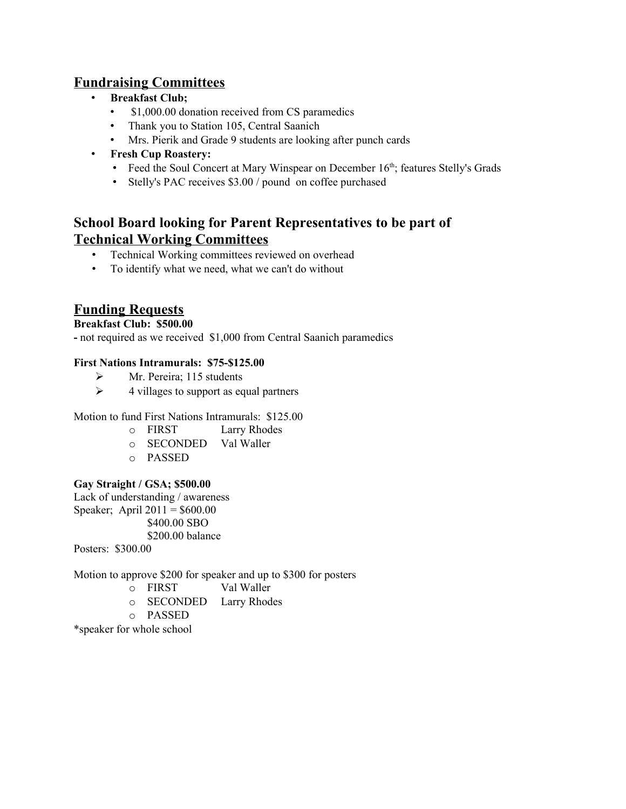## **Fundraising Committees**

- **Breakfast Club;** 
	- \$1,000.00 donation received from CS paramedics
	- Thank you to Station 105, Central Saanich
	- Mrs. Pierik and Grade 9 students are looking after punch cards
- **Fresh Cup Roastery:**
	- Feed the Soul Concert at Mary Winspear on December  $16<sup>th</sup>$ ; features Stelly's Grads
	- Stelly's PAC receives \$3.00 / pound on coffee purchased

# **School Board looking for Parent Representatives to be part of Technical Working Committees**

- Technical Working committees reviewed on overhead
- To identify what we need, what we can't do without

## **Funding Requests**

#### **Breakfast Club: \$500.00**

**-** not required as we received \$1,000 from Central Saanich paramedics

#### **First Nations Intramurals: \$75-\$125.00**

- ➢ Mr. Pereira; 115 students
- $\triangleright$  4 villages to support as equal partners

#### Motion to fund First Nations Intramurals: \$125.00

- o FIRST Larry Rhodes
- o SECONDED Val Waller
- o PASSED

#### **Gay Straight / GSA; \$500.00**

Lack of understanding / awareness Speaker; April  $2011 = $600.00$ \$400.00 SBO \$200.00 balance

Posters: \$300.00

Motion to approve \$200 for speaker and up to \$300 for posters

- o FIRST Val Waller
- o SECONDED Larry Rhodes
- o PASSED

\*speaker for whole school